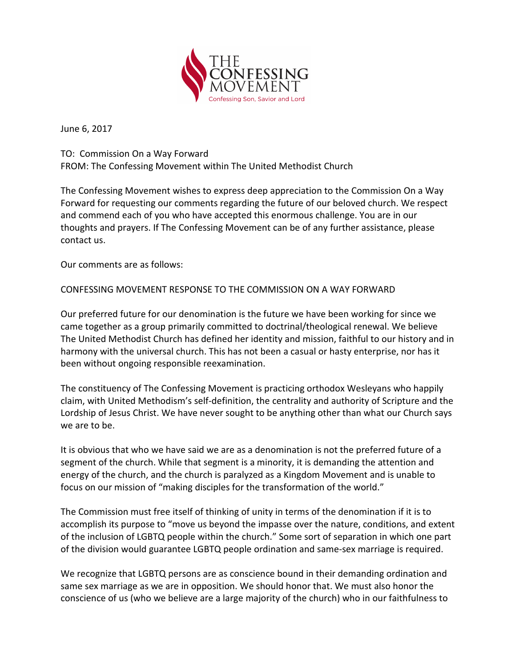

June 6, 2017

TO: Commission On a Way Forward FROM: The Confessing Movement within The United Methodist Church

The Confessing Movement wishes to express deep appreciation to the Commission On a Way Forward for requesting our comments regarding the future of our beloved church. We respect and commend each of you who have accepted this enormous challenge. You are in our thoughts and prayers. If The Confessing Movement can be of any further assistance, please contact us.

Our comments are as follows:

CONFESSING MOVEMENT RESPONSE TO THE COMMISSION ON A WAY FORWARD

Our preferred future for our denomination is the future we have been working for since we came together as a group primarily committed to doctrinal/theological renewal. We believe The United Methodist Church has defined her identity and mission, faithful to our history and in harmony with the universal church. This has not been a casual or hasty enterprise, nor has it been without ongoing responsible reexamination.

The constituency of The Confessing Movement is practicing orthodox Wesleyans who happily claim, with United Methodism's self-definition, the centrality and authority of Scripture and the Lordship of Jesus Christ. We have never sought to be anything other than what our Church says we are to be.

It is obvious that who we have said we are as a denomination is not the preferred future of a segment of the church. While that segment is a minority, it is demanding the attention and energy of the church, and the church is paralyzed as a Kingdom Movement and is unable to focus on our mission of "making disciples for the transformation of the world."

The Commission must free itself of thinking of unity in terms of the denomination if it is to accomplish its purpose to "move us beyond the impasse over the nature, conditions, and extent of the inclusion of LGBTQ people within the church." Some sort of separation in which one part of the division would guarantee LGBTQ people ordination and same-sex marriage is required.

We recognize that LGBTQ persons are as conscience bound in their demanding ordination and same sex marriage as we are in opposition. We should honor that. We must also honor the conscience of us (who we believe are a large majority of the church) who in our faithfulness to